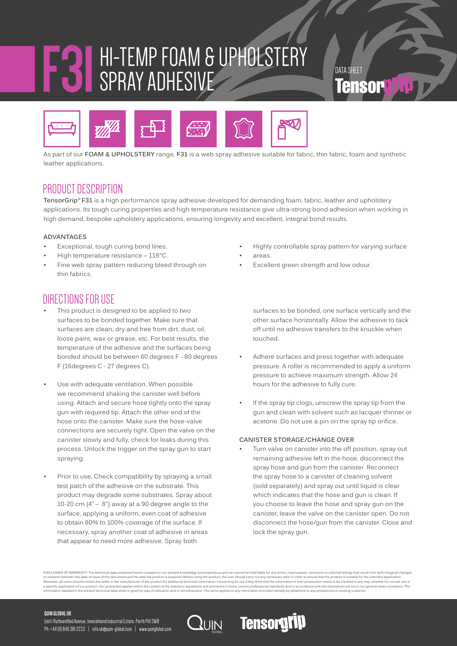# **F31**HI-TEMP FOAM & UPHOLSTERY SPRAY ADHESIVE TERS



As part of our **FOAM & UPHOLSTERY** range, **F31** is a web spray adhesive suitable for fabric, thin fabric, foam and synthetic leather applications.

### PRODUCT DESCRIPTION

**TensorGrip® F31** is a high performance spray adhesive developed for demanding foam, fabric, leather and upholstery applications. Its tough curing properties and high temperature resistance give ultra-strong bond adhesion when working in high demand, bespoke upholstery applications, ensuring longevity and excellent, integral bond results.

#### **ADVANTAGES**

- Exceptional, tough curing bond lines.
- High temperature resistance  $-118$ °C.
- Fine web spray pattern reducing bleed through on thin fabrics.

### DIRECTIONS FOR USE

- This product is designed to be applied to two surfaces to be bonded together. Make sure that surfaces are clean, dry and free from dirt, dust, oil, loose paint, wax or grease, etc. For best results, the temperature of the adhesive and the surfaces being bonded should be between 60 degrees F - 80 degrees F (16degrees C - 27 degrees C).
- Use with adequate ventilation. When possible we recommend shaking the canister well before using. Attach and secure hose tightly onto the spray gun with required tip. Attach the other end of the hose onto the canister. Make sure the hose-valve connections are securely tight. Open the valve on the canister slowly and fully, check for leaks during this process. Unlock the trigger on the spray gun to start spraying.
- Prior to use, Check compatibility by spraying a small test patch of the adhesive on the substrate. This product may degrade some substrates. Spray about 10-20 cm (4" – 8") away at a 90 degree angle to the surface, applying a uniform, even coat of adhesive to obtain 80% to 100% coverage of the surface. If necessary, spray another coat of adhesive in areas that appear to need more adhesive. Spray both
- Highly controllable spray pattern for varying surface
- areas.
- Excellent green strength and low odour.

surfaces to be bonded, one surface vertically and the other surface horizontally. Allow the adhesive to tack off until no adhesive transfers to the knuckle when touched.

- Adhere surfaces and press together with adequate pressure. A roller is recommended to apply a uniform pressure to achieve maximum strength. Allow 24 hours for the adhesive to fully cure.
- If the spray tip clogs, unscrew the spray tip from the gun and clean with solvent such as lacquer thinner or acetone. Do not use a pin on the spray tip orifice.

#### **CANISTER STORAGE/CHANGE OVER**

Turn valve on canister into the off position, spray out remaining adhesive left in the hose, disconnect the spray hose and gun from the canister. Reconnect the spray hose to a canister of cleaning solvent (sold separately) and spray out until liquid is clear which indicates that the hose and gun is clean. If you choose to leave the hose and spray gun on the canister, leave the valve on the canister open. Do not disconnect the hose/gun from the canister. Close and lock the spray gun.

DISCLAIMER OF WARRANTY: The technical data contained herein is based on our present knowledge and experience and we cannot be held liable for any errors, inaccuracies, omissions or editorial failings that result from techn a specific application of our product. Our guarantee applies within the context of the statutory regulations and provisions in force, current professional standards and in accordance with the stipulations set out in our<br>in

**Tensorgy** 

#### **QUIN GLOBAL UK**